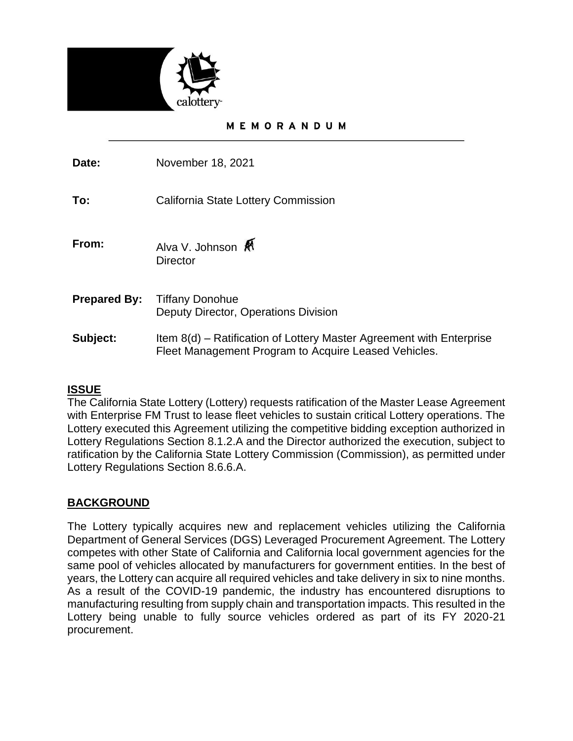

### MEMORANDUM

**Date:** November 18, 2021

**To:** California State Lottery Commission

- **From:** Alva V. Johnson **A Director**
- **Prepared By:** Tiffany Donohue Deputy Director, Operations Division
- **Subject:** Item 8(d) Ratification of Lottery Master Agreement with Enterprise Fleet Management Program to Acquire Leased Vehicles.

# **ISSUE**

The California State Lottery (Lottery) requests ratification of the Master Lease Agreement with Enterprise FM Trust to lease fleet vehicles to sustain critical Lottery operations. The Lottery executed this Agreement utilizing the competitive bidding exception authorized in Lottery Regulations Section 8.1.2.A and the Director authorized the execution, subject to ratification by the California State Lottery Commission (Commission), as permitted under Lottery Regulations Section 8.6.6.A.

# **BACKGROUND**

The Lottery typically acquires new and replacement vehicles utilizing the California Department of General Services (DGS) Leveraged Procurement Agreement. The Lottery competes with other State of California and California local government agencies for the same pool of vehicles allocated by manufacturers for government entities. In the best of years, the Lottery can acquire all required vehicles and take delivery in six to nine months. As a result of the COVID-19 pandemic, the industry has encountered disruptions to manufacturing resulting from supply chain and transportation impacts. This resulted in the Lottery being unable to fully source vehicles ordered as part of its FY 2020-21 procurement.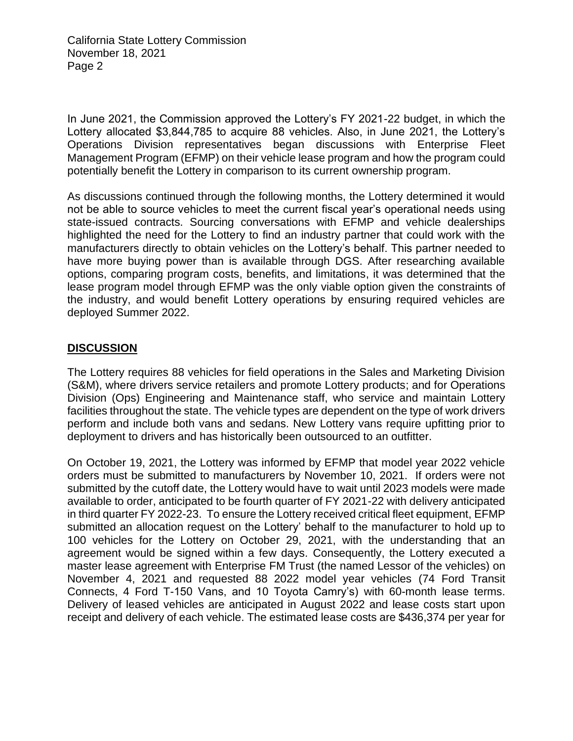California State Lottery Commission November 18, 2021 Page 2

In June 2021, the Commission approved the Lottery's FY 2021-22 budget, in which the Lottery allocated \$3,844,785 to acquire 88 vehicles. Also, in June 2021, the Lottery's Operations Division representatives began discussions with Enterprise Fleet Management Program (EFMP) on their vehicle lease program and how the program could potentially benefit the Lottery in comparison to its current ownership program.

As discussions continued through the following months, the Lottery determined it would not be able to source vehicles to meet the current fiscal year's operational needs using state-issued contracts. Sourcing conversations with EFMP and vehicle dealerships highlighted the need for the Lottery to find an industry partner that could work with the manufacturers directly to obtain vehicles on the Lottery's behalf. This partner needed to have more buying power than is available through DGS. After researching available options, comparing program costs, benefits, and limitations, it was determined that the lease program model through EFMP was the only viable option given the constraints of the industry, and would benefit Lottery operations by ensuring required vehicles are deployed Summer 2022.

# **DISCUSSION**

The Lottery requires 88 vehicles for field operations in the Sales and Marketing Division (S&M), where drivers service retailers and promote Lottery products; and for Operations Division (Ops) Engineering and Maintenance staff, who service and maintain Lottery facilities throughout the state. The vehicle types are dependent on the type of work drivers perform and include both vans and sedans. New Lottery vans require upfitting prior to deployment to drivers and has historically been outsourced to an outfitter.

On October 19, 2021, the Lottery was informed by EFMP that model year 2022 vehicle orders must be submitted to manufacturers by November 10, 2021. If orders were not submitted by the cutoff date, the Lottery would have to wait until 2023 models were made available to order, anticipated to be fourth quarter of FY 2021-22 with delivery anticipated in third quarter FY 2022-23. To ensure the Lottery received critical fleet equipment, EFMP submitted an allocation request on the Lottery' behalf to the manufacturer to hold up to 100 vehicles for the Lottery on October 29, 2021, with the understanding that an agreement would be signed within a few days. Consequently, the Lottery executed a master lease agreement with Enterprise FM Trust (the named Lessor of the vehicles) on November 4, 2021 and requested 88 2022 model year vehicles (74 Ford Transit Connects, 4 Ford T-150 Vans, and 10 Toyota Camry's) with 60-month lease terms. Delivery of leased vehicles are anticipated in August 2022 and lease costs start upon receipt and delivery of each vehicle. The estimated lease costs are \$436,374 per year for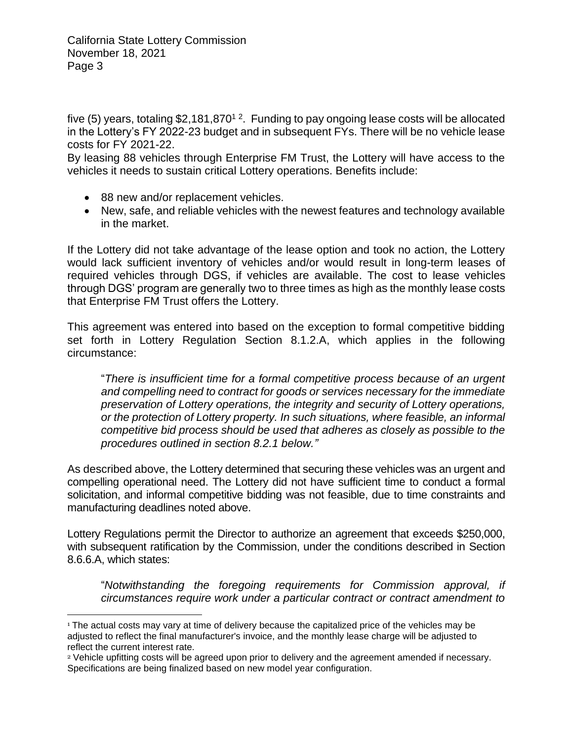California State Lottery Commission November 18, 2021 Page 3

five (5) years, totaling \$2,181,870<sup>1</sup> <sup>2</sup>. Funding to pay ongoing lease costs will be allocated in the Lottery's FY 2022-23 budget and in subsequent FYs. There will be no vehicle lease costs for FY 2021-22.

By leasing 88 vehicles through Enterprise FM Trust, the Lottery will have access to the vehicles it needs to sustain critical Lottery operations. Benefits include:

- 88 new and/or replacement vehicles.
- New, safe, and reliable vehicles with the newest features and technology available in the market.

If the Lottery did not take advantage of the lease option and took no action, the Lottery would lack sufficient inventory of vehicles and/or would result in long-term leases of required vehicles through DGS, if vehicles are available. The cost to lease vehicles through DGS' program are generally two to three times as high as the monthly lease costs that Enterprise FM Trust offers the Lottery.

This agreement was entered into based on the exception to formal competitive bidding set forth in Lottery Regulation Section 8.1.2.A, which applies in the following circumstance:

"*There is insufficient time for a formal competitive process because of an urgent and compelling need to contract for goods or services necessary for the immediate preservation of Lottery operations, the integrity and security of Lottery operations, or the protection of Lottery property. In such situations, where feasible, an informal competitive bid process should be used that adheres as closely as possible to the procedures outlined in section 8.2.1 below."* 

As described above, the Lottery determined that securing these vehicles was an urgent and compelling operational need. The Lottery did not have sufficient time to conduct a formal solicitation, and informal competitive bidding was not feasible, due to time constraints and manufacturing deadlines noted above.

Lottery Regulations permit the Director to authorize an agreement that exceeds \$250,000, with subsequent ratification by the Commission, under the conditions described in Section 8.6.6.A, which states:

"*Notwithstanding the foregoing requirements for Commission approval, if circumstances require work under a particular contract or contract amendment to* 

<sup>&</sup>lt;sup>1</sup> The actual costs may vary at time of delivery because the capitalized price of the vehicles may be adjusted to reflect the final manufacturer's invoice, and the monthly lease charge will be adjusted to reflect the current interest rate.

<sup>2</sup> Vehicle upfitting costs will be agreed upon prior to delivery and the agreement amended if necessary. Specifications are being finalized based on new model year configuration.